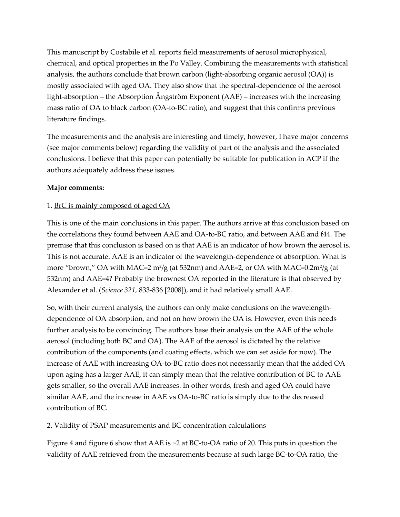This manuscript by Costabile et al. reports field measurements of aerosol microphysical, chemical, and optical properties in the Po Valley. Combining the measurements with statistical analysis, the authors conclude that brown carbon (light-absorbing organic aerosol (OA)) is mostly associated with aged OA. They also show that the spectral-dependence of the aerosol light-absorption – the Absorption Ångström Exponent (AAE) – increases with the increasing mass ratio of OA to black carbon (OA-to-BC ratio), and suggest that this confirms previous literature findings.

The measurements and the analysis are interesting and timely, however, I have major concerns (see major comments below) regarding the validity of part of the analysis and the associated conclusions. I believe that this paper can potentially be suitable for publication in ACP if the authors adequately address these issues.

### **Major comments:**

### 1. BrC is mainly composed of aged OA

This is one of the main conclusions in this paper. The authors arrive at this conclusion based on the correlations they found between AAE and OA-to-BC ratio, and between AAE and f44. The premise that this conclusion is based on is that AAE is an indicator of how brown the aerosol is. This is not accurate. AAE is an indicator of the wavelength-dependence of absorption. What is more "brown," OA with MAC=2 m²/g (at 532nm) and AAE=2, or OA with MAC=0.2m²/g (at 532nm) and AAE=4? Probably the brownest OA reported in the literature is that observed by Alexander et al. (*Science 321,* 833-836 [2008]), and it had relatively small AAE.

So, with their current analysis, the authors can only make conclusions on the wavelengthdependence of OA absorption, and not on how brown the OA is. However, even this needs further analysis to be convincing. The authors base their analysis on the AAE of the whole aerosol (including both BC and OA). The AAE of the aerosol is dictated by the relative contribution of the components (and coating effects, which we can set aside for now). The increase of AAE with increasing OA-to-BC ratio does not necessarily mean that the added OA upon aging has a larger AAE, it can simply mean that the relative contribution of BC to AAE gets smaller, so the overall AAE increases. In other words, fresh and aged OA could have similar AAE, and the increase in AAE vs OA-to-BC ratio is simply due to the decreased contribution of BC.

# 2. Validity of PSAP measurements and BC concentration calculations

Figure 4 and figure 6 show that AAE is ~2 at BC-to-OA ratio of 20. This puts in question the validity of AAE retrieved from the measurements because at such large BC-to-OA ratio, the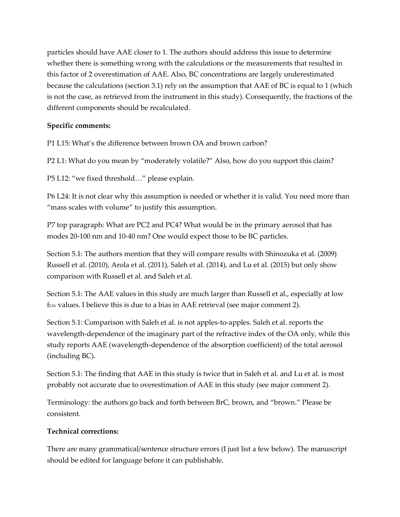particles should have AAE closer to 1. The authors should address this issue to determine whether there is something wrong with the calculations or the measurements that resulted in this factor of 2 overestimation of AAE. Also, BC concentrations are largely underestimated because the calculations (section 3.1) rely on the assumption that AAE of BC is equal to 1 (which is not the case, as retrieved from the instrument in this study). Consequently, the fractions of the different components should be recalculated.

# **Specific comments:**

P1 L15: What's the difference between brown OA and brown carbon?

P2 L1: What do you mean by "moderately volatile?" Also, how do you support this claim?

P5 L12: "we fixed threshold…" please explain.

P6 L24: It is not clear why this assumption is needed or whether it is valid. You need more than "mass scales with volume" to justify this assumption.

P7 top paragraph: What are PC2 and PC4? What would be in the primary aerosol that has modes 20-100 nm and 10-40 nm? One would expect those to be BC particles.

Section 5.1: The authors mention that they will compare results with Shinozuka et al. (2009) Russell et al. (2010), Arola et al. (2011), Saleh et al. (2014), and Lu et al. (2015) but only show comparison with Russell et al. and Saleh et al.

Section 5.1: The AAE values in this study are much larger than Russell et al., especially at low foa values. I believe this is due to a bias in AAE retrieval (see major comment 2).

Section 5.1: Comparison with Saleh et al. is not apples-to-apples. Saleh et al. reports the wavelength-dependence of the imaginary part of the refractive index of the OA only, while this study reports AAE (wavelength-dependence of the absorption coefficient) of the total aerosol (including BC).

Section 5.1: The finding that AAE in this study is twice that in Saleh et al. and Lu et al. is most probably not accurate due to overestimation of AAE in this study (see major comment 2).

Terminology: the authors go back and forth between BrC, brown, and "brown." Please be consistent.

# **Technical corrections:**

There are many grammatical/sentence structure errors (I just list a few below). The manuscript should be edited for language before it can publishable.